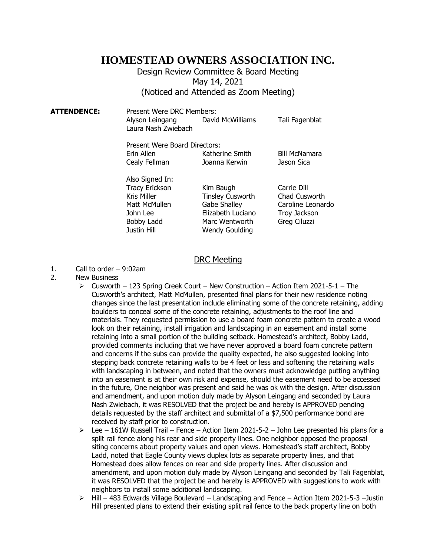# **HOMESTEAD OWNERS ASSOCIATION INC.**

## Design Review Committee & Board Meeting May 14, 2021 (Noticed and Attended as Zoom Meeting)

**ATTENDENCE:** Present Were DRC Members: Alyson Leingang David McWilliams Tali Fagenblat Laura Nash Zwiebach Present Were Board Directors: Erin Allen Katherine Smith Bill McNamara Cealy Fellman Joanna Kerwin Jason Sica

> Also Signed In: Justin Hill Wendy Goulding

Tracy Erickson Kim Baugh Carrie Dill Kris Miller **Tinsley Cusworth** Chad Cusworth Matt McMullen Gabe Shalley Caroline Leonardo John Lee Elizabeth Luciano Troy Jackson Bobby Ladd Marc Wentworth Greg Ciluzzi

#### DRC Meeting

- 1. Call to order 9:02am
- 2. New Business
	- ➢ Cusworth 123 Spring Creek Court New Construction Action Item 2021-5-1 The Cusworth's architect, Matt McMullen, presented final plans for their new residence noting changes since the last presentation include eliminating some of the concrete retaining, adding boulders to conceal some of the concrete retaining, adjustments to the roof line and materials. They requested permission to use a board foam concrete pattern to create a wood look on their retaining, install irrigation and landscaping in an easement and install some retaining into a small portion of the building setback. Homestead's architect, Bobby Ladd, provided comments including that we have never approved a board foam concrete pattern and concerns if the subs can provide the quality expected, he also suggested looking into stepping back concrete retaining walls to be 4 feet or less and softening the retaining walls with landscaping in between, and noted that the owners must acknowledge putting anything into an easement is at their own risk and expense, should the easement need to be accessed in the future, One neighbor was present and said he was ok with the design. After discussion and amendment, and upon motion duly made by Alyson Leingang and seconded by Laura Nash Zwiebach, it was RESOLVED that the project be and hereby is APPROVED pending details requested by the staff architect and submittal of a \$7,500 performance bond are received by staff prior to construction.
	- $\geq$  Lee 161W Russell Trail Fence Action Item 2021-5-2 John Lee presented his plans for a split rail fence along his rear and side property lines. One neighbor opposed the proposal siting concerns about property values and open views. Homestead's staff architect, Bobby Ladd, noted that Eagle County views duplex lots as separate property lines, and that Homestead does allow fences on rear and side property lines. After discussion and amendment, and upon motion duly made by Alyson Leingang and seconded by Tali Fagenblat, it was RESOLVED that the project be and hereby is APPROVED with suggestions to work with neighbors to install some additional landscaping.
	- ➢ Hill 483 Edwards Village Boulevard Landscaping and Fence Action Item 2021-5-3 –Justin Hill presented plans to extend their existing split rail fence to the back property line on both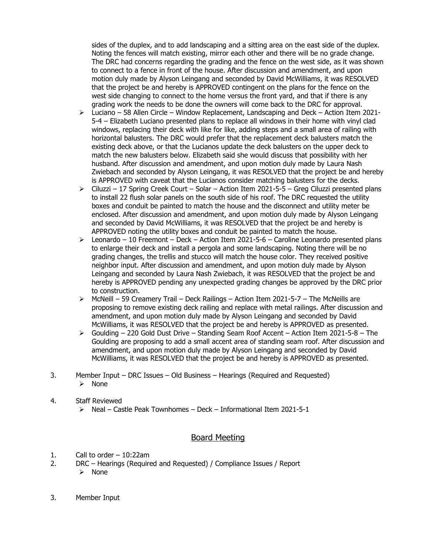sides of the duplex, and to add landscaping and a sitting area on the east side of the duplex. Noting the fences will match existing, mirror each other and there will be no grade change. The DRC had concerns regarding the grading and the fence on the west side, as it was shown to connect to a fence in front of the house. After discussion and amendment, and upon motion duly made by Alyson Leingang and seconded by David McWilliams, it was RESOLVED that the project be and hereby is APPROVED contingent on the plans for the fence on the west side changing to connect to the home versus the front yard, and that if there is any grading work the needs to be done the owners will come back to the DRC for approval.

- ➢ Luciano 58 Allen Circle Window Replacement, Landscaping and Deck Action Item 2021- 5-4 – Elizabeth Luciano presented plans to replace all windows in their home with vinyl clad windows, replacing their deck with like for like, adding steps and a small area of railing with horizontal balusters. The DRC would prefer that the replacement deck balusters match the existing deck above, or that the Lucianos update the deck balusters on the upper deck to match the new balusters below. Elizabeth said she would discuss that possibility with her husband. After discussion and amendment, and upon motion duly made by Laura Nash Zwiebach and seconded by Alyson Leingang, it was RESOLVED that the project be and hereby is APPROVED with caveat that the Lucianos consider matching balusters for the decks.
- ➢ Ciluzzi 17 Spring Creek Court Solar Action Item 2021-5-5 Greg Ciluzzi presented plans to install 22 flush solar panels on the south side of his roof. The DRC requested the utility boxes and conduit be painted to match the house and the disconnect and utility meter be enclosed. After discussion and amendment, and upon motion duly made by Alyson Leingang and seconded by David McWilliams, it was RESOLVED that the project be and hereby is APPROVED noting the utility boxes and conduit be painted to match the house.
- ➢ Leonardo 10 Freemont Deck Action Item 2021-5-6 Caroline Leonardo presented plans to enlarge their deck and install a pergola and some landscaping. Noting there will be no grading changes, the trellis and stucco will match the house color. They received positive neighbor input. After discussion and amendment, and upon motion duly made by Alyson Leingang and seconded by Laura Nash Zwiebach, it was RESOLVED that the project be and hereby is APPROVED pending any unexpected grading changes be approved by the DRC prior to construction.
- $\triangleright$  McNeill 59 Creamery Trail Deck Railings Action Item 2021-5-7 The McNeills are proposing to remove existing deck railing and replace with metal railings. After discussion and amendment, and upon motion duly made by Alyson Leingang and seconded by David McWilliams, it was RESOLVED that the project be and hereby is APPROVED as presented.
- $\triangleright$  Goulding 220 Gold Dust Drive Standing Seam Roof Accent Action Item 2021-5-8 The Goulding are proposing to add a small accent area of standing seam roof. After discussion and amendment, and upon motion duly made by Alyson Leingang and seconded by David McWilliams, it was RESOLVED that the project be and hereby is APPROVED as presented.
- 3. Member Input DRC Issues Old Business Hearings (Required and Requested) ➢ None
- 4. Staff Reviewed
	- ➢ Neal Castle Peak Townhomes Deck Informational Item 2021-5-1

### Board Meeting

- 1. Call to order 10:22am
- 2. DRC Hearings (Required and Requested) / Compliance Issues / Report ➢ None
- 3. Member Input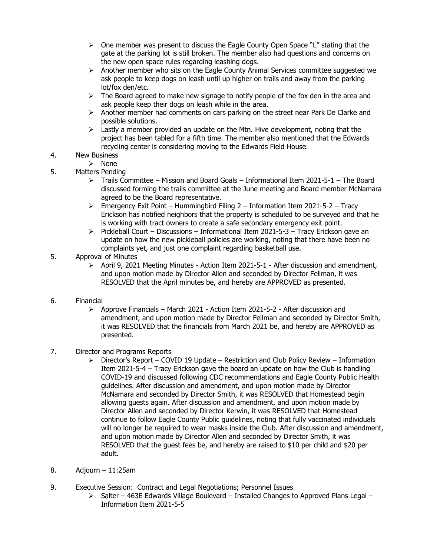- $\triangleright$  One member was present to discuss the Eagle County Open Space "L" stating that the gate at the parking lot is still broken. The member also had questions and concerns on the new open space rules regarding leashing dogs.
- $\triangleright$  Another member who sits on the Eagle County Animal Services committee suggested we ask people to keep dogs on leash until up higher on trails and away from the parking lot/fox den/etc.
- $\triangleright$  The Board agreed to make new signage to notify people of the fox den in the area and ask people keep their dogs on leash while in the area.
- $\triangleright$  Another member had comments on cars parking on the street near Park De Clarke and possible solutions.
- $\triangleright$  Lastly a member provided an update on the Mtn. Hive development, noting that the project has been tabled for a fifth time. The member also mentioned that the Edwards recycling center is considering moving to the Edwards Field House.
- 4. New Business
	- ➢ None
- 5. Matters Pending
	- $\triangleright$  Trails Committee Mission and Board Goals Informational Item 2021-5-1 The Board discussed forming the trails committee at the June meeting and Board member McNamara agreed to be the Board representative.
	- $\triangleright$  Emergency Exit Point Hummingbird Filing 2 Information Item 2021-5-2 Tracy Erickson has notified neighbors that the property is scheduled to be surveyed and that he is working with tract owners to create a safe secondary emergency exit point.
	- $\triangleright$  Pickleball Court Discussions Informational Item 2021-5-3 Tracy Erickson gave an update on how the new pickleball policies are working, noting that there have been no complaints yet, and just one complaint regarding basketball use.
- 5. Approval of Minutes
	- $\triangleright$  April 9, 2021 Meeting Minutes Action Item 2021-5-1 After discussion and amendment, and upon motion made by Director Allen and seconded by Director Fellman, it was RESOLVED that the April minutes be, and hereby are APPROVED as presented.
- 6. Financial
	- $\triangleright$  Approve Financials March 2021 Action Item 2021-5-2 After discussion and amendment, and upon motion made by Director Fellman and seconded by Director Smith, it was RESOLVED that the financials from March 2021 be, and hereby are APPROVED as presented.
- 7. Director and Programs Reports
	- $\triangleright$  Director's Report COVID 19 Update Restriction and Club Policy Review Information Item 2021-5-4 – Tracy Erickson gave the board an update on how the Club is handling COVID-19 and discussed following CDC recommendations and Eagle County Public Health guidelines. After discussion and amendment, and upon motion made by Director McNamara and seconded by Director Smith, it was RESOLVED that Homestead begin allowing guests again. After discussion and amendment, and upon motion made by Director Allen and seconded by Director Kerwin, it was RESOLVED that Homestead continue to follow Eagle County Public guidelines, noting that fully vaccinated individuals will no longer be required to wear masks inside the Club. After discussion and amendment, and upon motion made by Director Allen and seconded by Director Smith, it was RESOLVED that the guest fees be, and hereby are raised to \$10 per child and \$20 per adult.
- 8. Adjourn 11:25am
- 9. Executive Session: Contract and Legal Negotiations; Personnel Issues
	- $\triangleright$  Salter 463E Edwards Village Boulevard Installed Changes to Approved Plans Legal Information Item 2021-5-5